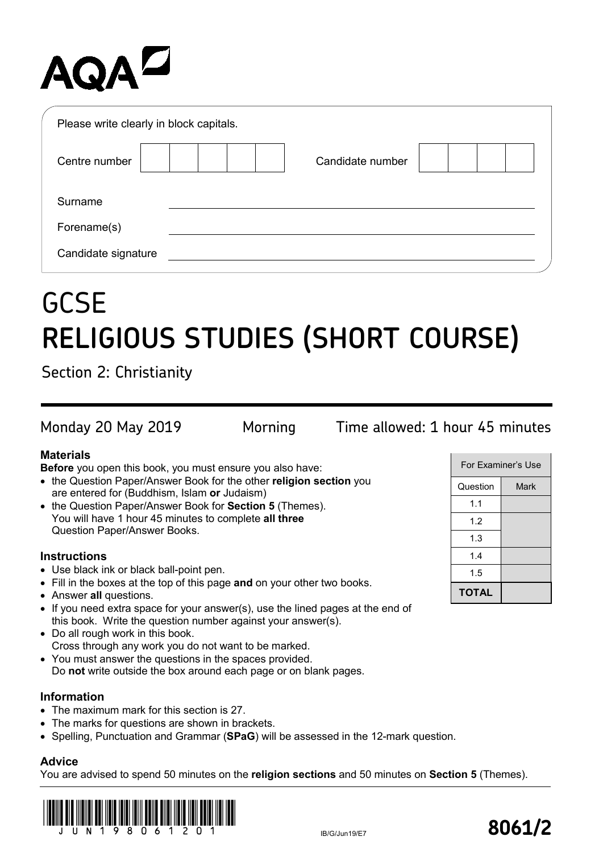# AQA<sup>D</sup>

| Please write clearly in block capitals. |                  |  |
|-----------------------------------------|------------------|--|
| Centre number                           | Candidate number |  |
| Surname                                 |                  |  |
| Forename(s)                             |                  |  |
| Candidate signature                     |                  |  |

# **GCSE RELIGIOUS STUDIES (SHORT COURSE)**

Section 2: Christianity

Monday 20 May 2019 Morning Time allowed: 1 hour 45 minutes

## **Materials**

**Before** you open this book, you must ensure you also have:

- the Question Paper/Answer Book for the other **religion section** you are entered for (Buddhism, Islam **or** Judaism)
- the Question Paper/Answer Book for **Section 5** (Themes). You will have 1 hour 45 minutes to complete **all three** Question Paper/Answer Books.

## **Instructions**

- Use black ink or black ball-point pen.
- Fill in the boxes at the top of this page **and** on your other two books.
- Answer **all** questions.
- If you need extra space for your answer(s), use the lined pages at the end of this book. Write the question number against your answer(s).
- Do all rough work in this book. Cross through any work you do not want to be marked.
- You must answer the questions in the spaces provided.
- Do **not** write outside the box around each page or on blank pages.

#### **Information**

- The maximum mark for this section is 27.
- The marks for questions are shown in brackets.
- Spelling, Punctuation and Grammar (**SPaG**) will be assessed in the 12-mark question.

#### **Advice**

You are advised to spend 50 minutes on the **religion sections** and 50 minutes on **Section 5** (Themes).



For Examiner's Use

Question | Mark

1.1 1.2 1.3 1.4 1.5 **TOTAL**

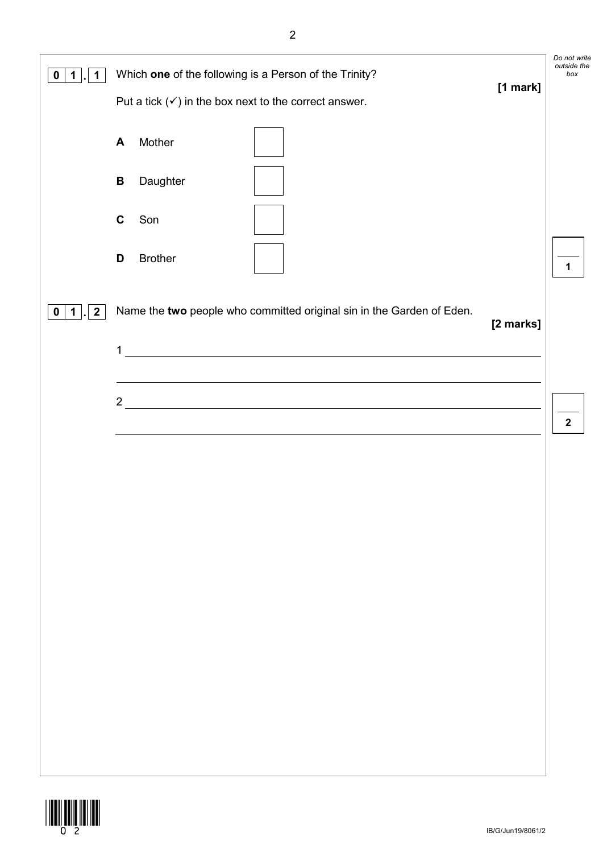| 1<br>0<br>1       |             | Which one of the following is a Person of the Trinity?                                                                 |           | Do not write<br>outside the<br>box |
|-------------------|-------------|------------------------------------------------------------------------------------------------------------------------|-----------|------------------------------------|
|                   |             | Put a tick $(\checkmark)$ in the box next to the correct answer.                                                       | [1 mark]  |                                    |
|                   | A           | Mother                                                                                                                 |           |                                    |
|                   | B           | Daughter                                                                                                               |           |                                    |
|                   | $\mathbf c$ | Son                                                                                                                    |           |                                    |
|                   | D           | <b>Brother</b>                                                                                                         |           | 1                                  |
| $1 \nvert 2$<br>0 |             | Name the two people who committed original sin in the Garden of Eden.                                                  | [2 marks] |                                    |
|                   | 1           | <u> 1989 - Johann Stoff, deutscher Stoffen und der Stoffen und der Stoffen und der Stoffen und der Stoffen und der</u> |           |                                    |
|                   |             | $2 \overline{\phantom{a}}$                                                                                             |           |                                    |
|                   |             | <u> 1989 - Johann Stoff, deutscher Stoffen und der Stoffen und der Stoffen und der Stoffen und der Stoffen und der</u> |           | $\mathbf{2}$                       |
|                   |             |                                                                                                                        |           |                                    |
|                   |             |                                                                                                                        |           |                                    |
|                   |             |                                                                                                                        |           |                                    |
|                   |             |                                                                                                                        |           |                                    |
|                   |             |                                                                                                                        |           |                                    |
|                   |             |                                                                                                                        |           |                                    |
|                   |             |                                                                                                                        |           |                                    |
|                   |             |                                                                                                                        |           |                                    |
|                   |             |                                                                                                                        |           |                                    |
|                   |             |                                                                                                                        |           |                                    |
|                   |             |                                                                                                                        |           |                                    |

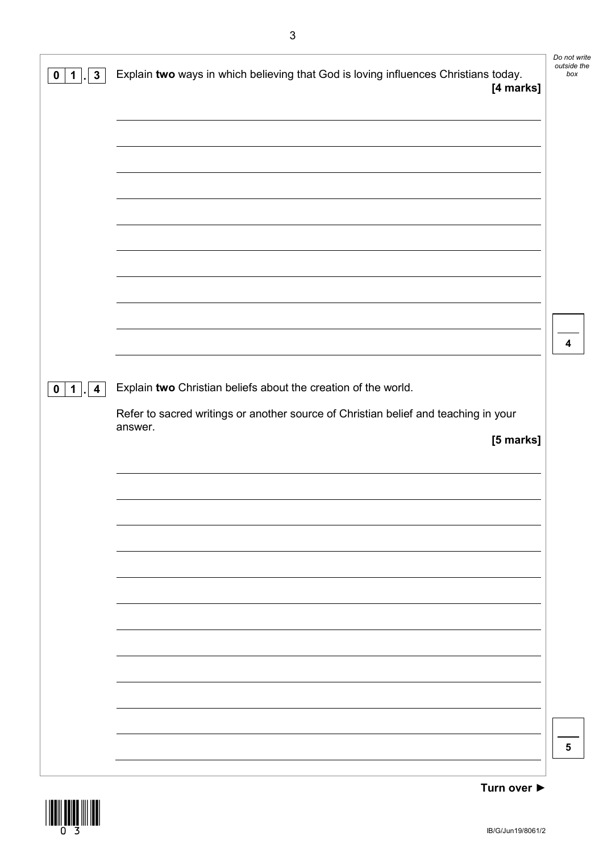| $\mathbf{3}$<br>$\mathbf 0$<br>$\mathbf 1$ | Explain two ways in which believing that God is loving influences Christians today.<br>[4 marks] | DO NOI W<br>outside t<br>box |
|--------------------------------------------|--------------------------------------------------------------------------------------------------|------------------------------|
|                                            |                                                                                                  |                              |
|                                            |                                                                                                  |                              |
|                                            |                                                                                                  |                              |
|                                            |                                                                                                  |                              |
|                                            |                                                                                                  |                              |
|                                            |                                                                                                  |                              |
|                                            |                                                                                                  | $\boldsymbol{4}$             |
|                                            |                                                                                                  |                              |
| $\mathbf 0$<br>$\mathbf{1}$<br>4           | Explain two Christian beliefs about the creation of the world.                                   |                              |
|                                            | Refer to sacred writings or another source of Christian belief and teaching in your<br>answer.   |                              |
|                                            |                                                                                                  |                              |
|                                            | [5 marks]                                                                                        |                              |
|                                            |                                                                                                  |                              |
|                                            |                                                                                                  |                              |
|                                            |                                                                                                  |                              |
|                                            |                                                                                                  |                              |
|                                            |                                                                                                  |                              |
|                                            |                                                                                                  |                              |
|                                            |                                                                                                  |                              |
|                                            |                                                                                                  |                              |



*Do not write outside the box*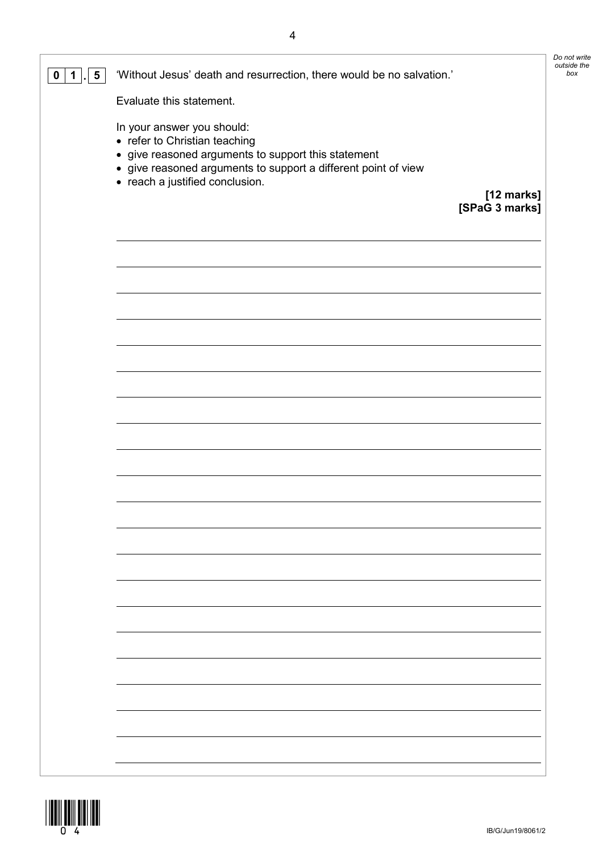|                           |                                                                                                                                                                                                                         | Do not write       |
|---------------------------|-------------------------------------------------------------------------------------------------------------------------------------------------------------------------------------------------------------------------|--------------------|
| $5\phantom{.0}$<br>0<br>1 | 'Without Jesus' death and resurrection, there would be no salvation.'                                                                                                                                                   | outside the<br>box |
|                           | Evaluate this statement.                                                                                                                                                                                                |                    |
|                           | In your answer you should:<br>• refer to Christian teaching<br>• give reasoned arguments to support this statement<br>• give reasoned arguments to support a different point of view<br>• reach a justified conclusion. |                    |
|                           | [12 marks]                                                                                                                                                                                                              |                    |
|                           | [SPaG 3 marks]                                                                                                                                                                                                          |                    |
|                           |                                                                                                                                                                                                                         |                    |
|                           |                                                                                                                                                                                                                         |                    |
|                           |                                                                                                                                                                                                                         |                    |
|                           |                                                                                                                                                                                                                         |                    |
|                           |                                                                                                                                                                                                                         |                    |
|                           |                                                                                                                                                                                                                         |                    |
|                           |                                                                                                                                                                                                                         |                    |
|                           |                                                                                                                                                                                                                         |                    |
|                           |                                                                                                                                                                                                                         |                    |
|                           |                                                                                                                                                                                                                         |                    |
|                           |                                                                                                                                                                                                                         |                    |
|                           |                                                                                                                                                                                                                         |                    |
|                           |                                                                                                                                                                                                                         |                    |
|                           |                                                                                                                                                                                                                         |                    |
|                           |                                                                                                                                                                                                                         |                    |
|                           |                                                                                                                                                                                                                         |                    |
|                           |                                                                                                                                                                                                                         |                    |
|                           |                                                                                                                                                                                                                         |                    |
|                           |                                                                                                                                                                                                                         |                    |
|                           |                                                                                                                                                                                                                         |                    |
|                           |                                                                                                                                                                                                                         |                    |
|                           |                                                                                                                                                                                                                         |                    |
|                           |                                                                                                                                                                                                                         |                    |
|                           |                                                                                                                                                                                                                         |                    |

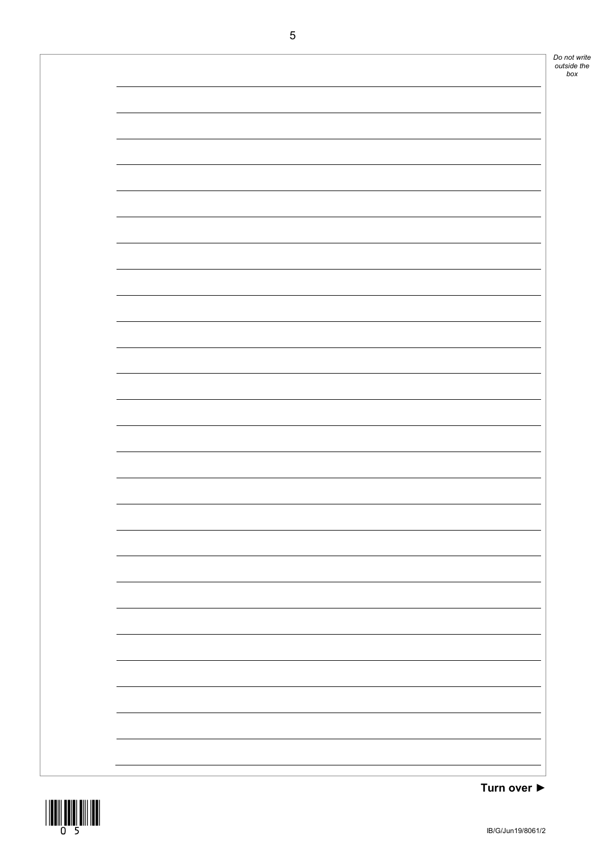

**Turn over ►**

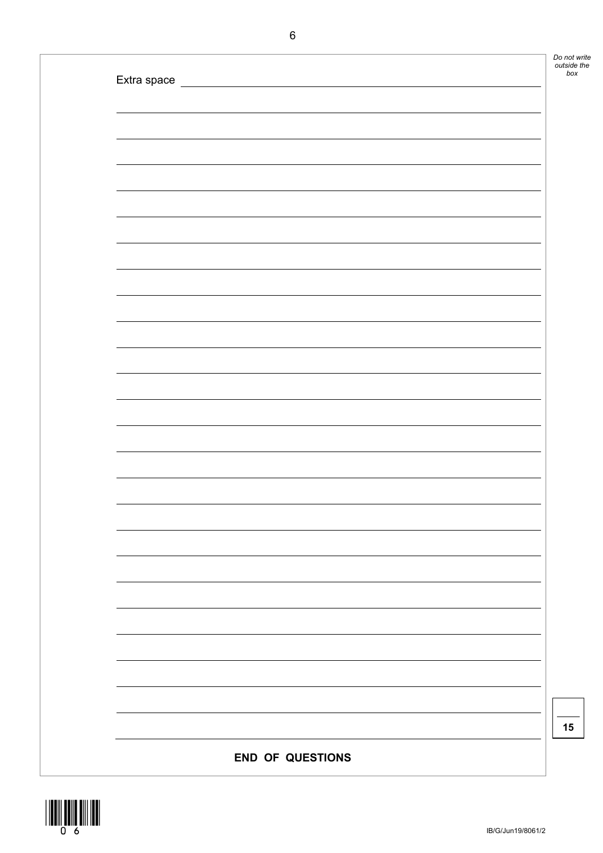

| Extra space <u>extra space</u> |  |  |
|--------------------------------|--|--|
|                                |  |  |
|                                |  |  |
|                                |  |  |
|                                |  |  |
|                                |  |  |
|                                |  |  |
|                                |  |  |
|                                |  |  |
|                                |  |  |
|                                |  |  |
|                                |  |  |
|                                |  |  |
|                                |  |  |
|                                |  |  |
|                                |  |  |
|                                |  |  |
|                                |  |  |
|                                |  |  |
|                                |  |  |
|                                |  |  |
|                                |  |  |
|                                |  |  |
|                                |  |  |
|                                |  |  |
|                                |  |  |
|                                |  |  |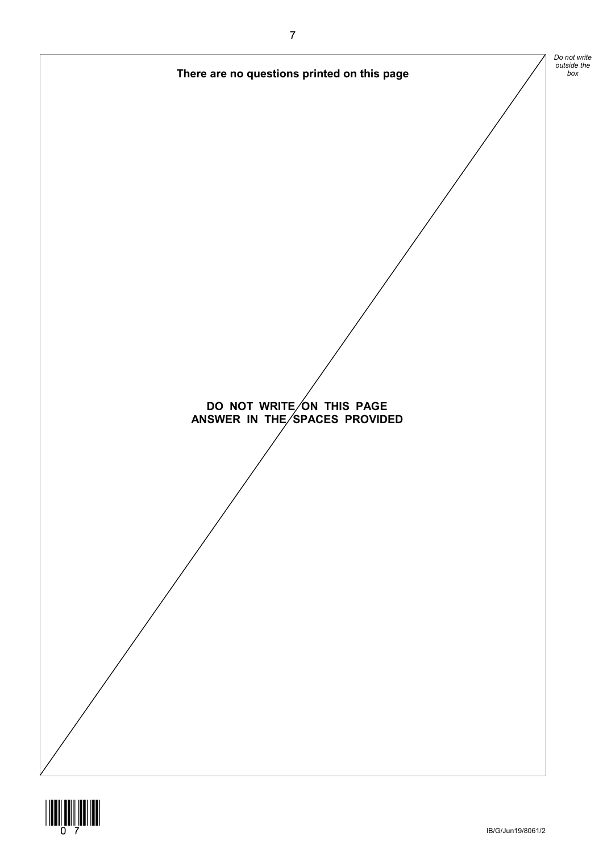

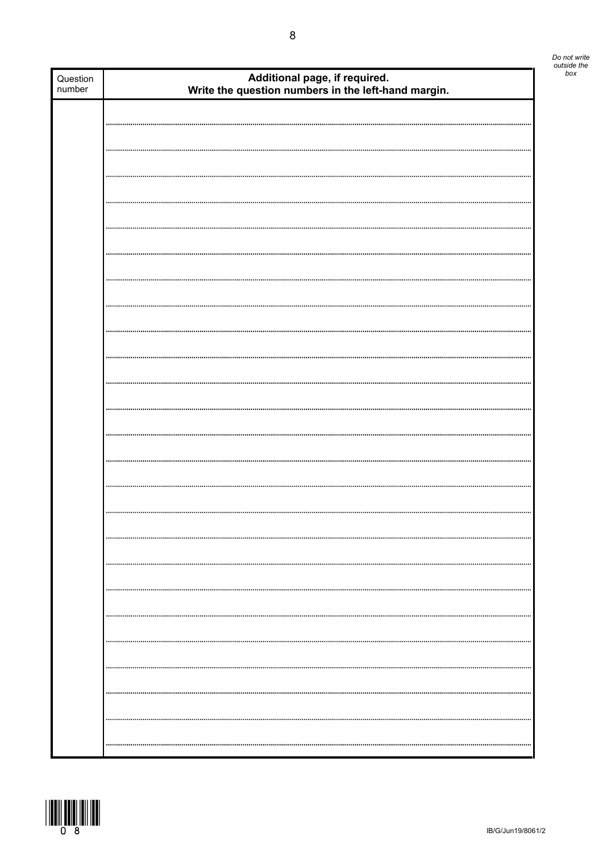| Do not write<br>outside the<br>box |
|------------------------------------|
|                                    |

| Question<br>number | Additional page, if required.<br>Write the question numbers in the left-hand margin. | bo |
|--------------------|--------------------------------------------------------------------------------------|----|
|                    |                                                                                      |    |
|                    |                                                                                      |    |
|                    |                                                                                      |    |
|                    |                                                                                      |    |
|                    |                                                                                      |    |
|                    |                                                                                      |    |
|                    |                                                                                      |    |
|                    |                                                                                      |    |
|                    |                                                                                      |    |
|                    |                                                                                      |    |
|                    |                                                                                      |    |
|                    |                                                                                      |    |
|                    |                                                                                      |    |
|                    |                                                                                      |    |
|                    |                                                                                      |    |
|                    |                                                                                      |    |
|                    |                                                                                      |    |
|                    |                                                                                      |    |
|                    |                                                                                      |    |
|                    |                                                                                      |    |
|                    |                                                                                      |    |
|                    |                                                                                      |    |
|                    |                                                                                      |    |
|                    |                                                                                      |    |
|                    |                                                                                      |    |
|                    |                                                                                      |    |
|                    |                                                                                      |    |
|                    |                                                                                      |    |
|                    |                                                                                      |    |
|                    |                                                                                      |    |
|                    |                                                                                      |    |

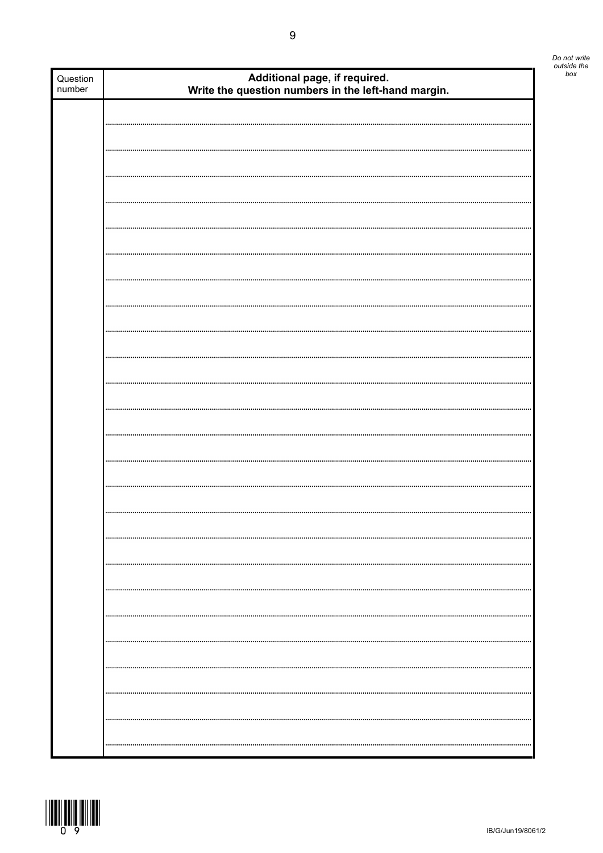| Question<br>number | Additional page, if required.<br>Write the question numbers in the left-hand margin. | box |
|--------------------|--------------------------------------------------------------------------------------|-----|
|                    |                                                                                      |     |
|                    |                                                                                      |     |
|                    |                                                                                      |     |
|                    |                                                                                      |     |
|                    |                                                                                      |     |
|                    |                                                                                      |     |
|                    |                                                                                      |     |
|                    |                                                                                      |     |
|                    |                                                                                      |     |
|                    |                                                                                      |     |
|                    |                                                                                      |     |
|                    |                                                                                      |     |
|                    |                                                                                      |     |
|                    |                                                                                      |     |
|                    |                                                                                      |     |
|                    |                                                                                      |     |
|                    |                                                                                      |     |
|                    |                                                                                      |     |
|                    |                                                                                      |     |
|                    |                                                                                      |     |
|                    |                                                                                      |     |
|                    |                                                                                      |     |
|                    |                                                                                      |     |
|                    |                                                                                      |     |
|                    |                                                                                      |     |
|                    |                                                                                      |     |
|                    |                                                                                      |     |
|                    |                                                                                      |     |
|                    |                                                                                      |     |
|                    |                                                                                      |     |
|                    |                                                                                      |     |

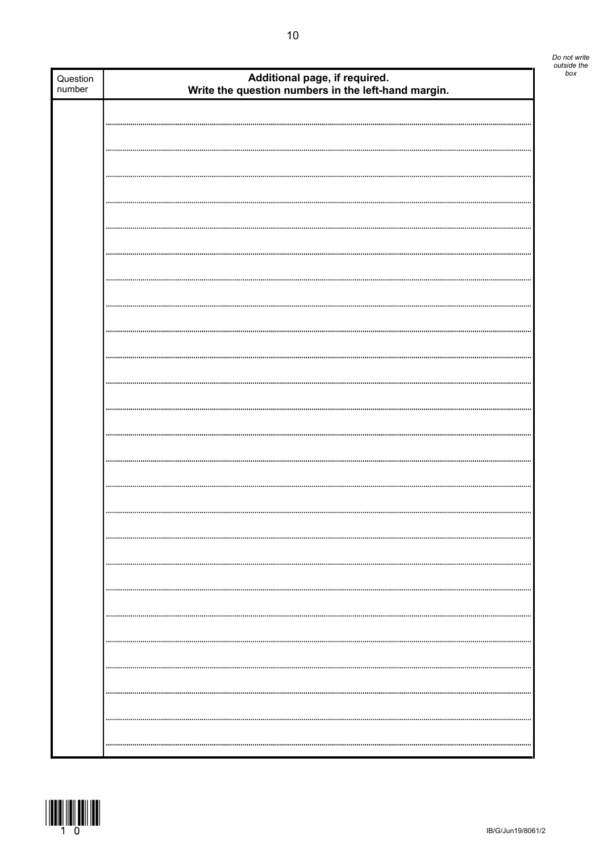| Question<br>number | Additional page, if required.<br>Write the question numbers in the left-hand margin. |  |  |
|--------------------|--------------------------------------------------------------------------------------|--|--|
|                    |                                                                                      |  |  |
|                    |                                                                                      |  |  |
|                    |                                                                                      |  |  |
|                    |                                                                                      |  |  |
|                    |                                                                                      |  |  |
|                    |                                                                                      |  |  |
|                    |                                                                                      |  |  |
|                    |                                                                                      |  |  |
|                    |                                                                                      |  |  |
|                    |                                                                                      |  |  |
|                    |                                                                                      |  |  |
|                    |                                                                                      |  |  |
|                    |                                                                                      |  |  |
|                    |                                                                                      |  |  |
|                    |                                                                                      |  |  |
|                    |                                                                                      |  |  |
|                    |                                                                                      |  |  |
|                    |                                                                                      |  |  |
|                    |                                                                                      |  |  |
|                    |                                                                                      |  |  |
|                    |                                                                                      |  |  |
|                    |                                                                                      |  |  |
|                    |                                                                                      |  |  |
|                    |                                                                                      |  |  |
|                    |                                                                                      |  |  |
|                    |                                                                                      |  |  |
|                    |                                                                                      |  |  |
|                    |                                                                                      |  |  |
|                    |                                                                                      |  |  |
|                    |                                                                                      |  |  |
|                    |                                                                                      |  |  |
|                    |                                                                                      |  |  |
|                    |                                                                                      |  |  |
|                    |                                                                                      |  |  |
|                    |                                                                                      |  |  |
|                    |                                                                                      |  |  |
|                    |                                                                                      |  |  |



*Do not write outside the*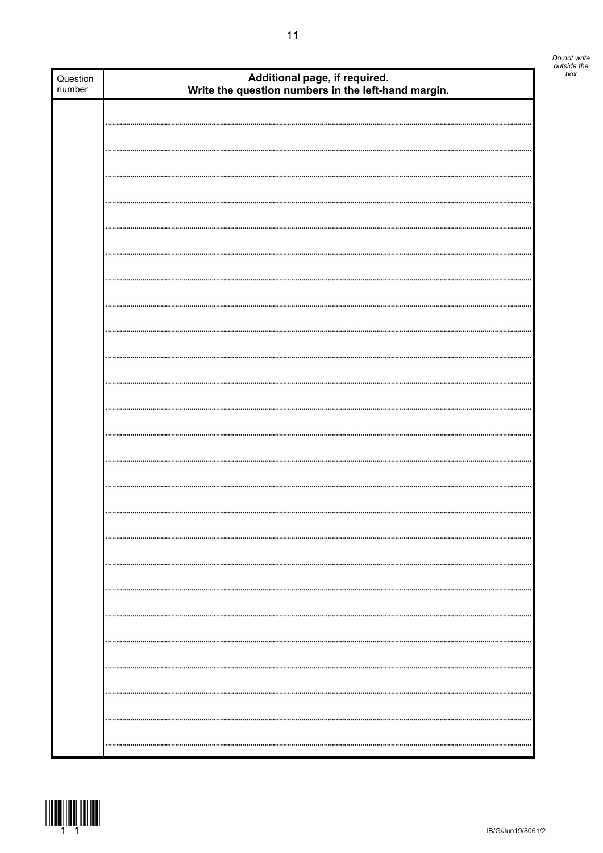| Question<br>number | Additional page, if required.<br>Write the question numbers in the left-hand margin. | box |
|--------------------|--------------------------------------------------------------------------------------|-----|
|                    |                                                                                      |     |
|                    |                                                                                      |     |
|                    |                                                                                      |     |
|                    |                                                                                      |     |
|                    |                                                                                      |     |
|                    |                                                                                      |     |
|                    |                                                                                      |     |
|                    |                                                                                      |     |
|                    |                                                                                      |     |
|                    |                                                                                      |     |
|                    |                                                                                      |     |
|                    |                                                                                      |     |
|                    |                                                                                      |     |
|                    |                                                                                      |     |
|                    |                                                                                      |     |
|                    |                                                                                      |     |
|                    |                                                                                      |     |
|                    |                                                                                      |     |
|                    |                                                                                      |     |
|                    |                                                                                      |     |
|                    |                                                                                      |     |
|                    |                                                                                      |     |
|                    |                                                                                      |     |
|                    |                                                                                      |     |
|                    |                                                                                      |     |
|                    |                                                                                      |     |
|                    |                                                                                      |     |
|                    |                                                                                      |     |
|                    |                                                                                      |     |
|                    |                                                                                      |     |
|                    |                                                                                      |     |
|                    |                                                                                      |     |
|                    |                                                                                      |     |
|                    |                                                                                      |     |
|                    |                                                                                      |     |
|                    | <br>                                                                                 |     |



*Do not write outside the*